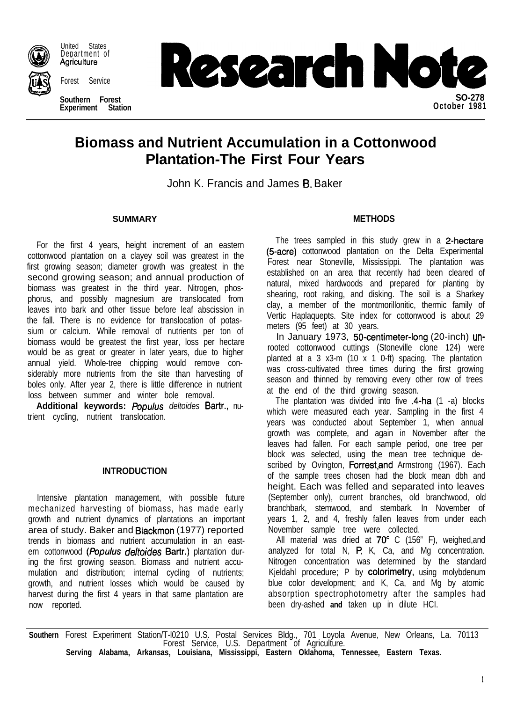

United States Department of Agriculture

Forest Service

**Southern Forest Experiment Station**



# **Biomass and Nutrient Accumulation in a Cottonwood Plantation-The First Four Years**

John K. Francis and James B. Baker

For the first 4 years, height increment of an eastern cottonwood plantation on a clayey soil was greatest in the first growing season; diameter growth was greatest in the second growing season; and annual production of biomass was greatest in the third year. Nitrogen, phosphorus, and possibly magnesium are translocated from leaves into bark and other tissue before leaf abscission in the fall. There is no evidence for translocation of potassium or calcium. While removal of nutrients per ton of biomass would be greatest the first year, loss per hectare would be as great or greater in later years, due to higher annual yield. Whole-tree chipping would remove considerably more nutrients from the site than harvesting of boles only. After year 2, there is little difference in nutrient loss between summer and winter bole removal.

Additional keywords: Populus deltoides Bartr., nutrient cycling, nutrient translocation.

## **INTRODUCTION**

Intensive plantation management, with possible future mechanized harvesting of biomass, has made early growth and nutrient dynamics of plantations an important area of study. Baker and Blackmon (1977) reported trends in biomass and nutrient accumulation in an eastern cottonwood (Populus deltoides Bartr.) plantation during the first growing season. Biomass and nutrient accumulation and distribution; internal cycling of nutrients; growth, and nutrient losses which would be caused by harvest during the first 4 years in that same plantation are now reported.

# **SUMMARY METHODS**

The trees sampled in this study grew in a 2-hectare (5-acre) cottonwood plantation on the Delta Experimental Forest near Stoneville, Mississippi. The plantation was established on an area that recently had been cleared of natural, mixed hardwoods and prepared for planting by shearing, root raking, and disking. The soil is a Sharkey clay, a member of the montmorillonitic, thermic family of Vertic Haplaquepts. Site index for cottonwood is about 29 meters (95 feet) at 30 years.

In January 1973, 50-centimeter-long (20-inch) unrooted cottonwood cuttings (Stoneville clone 124) were planted at a 3 x3-m (10 x 1 0-ft) spacing. The plantation was cross-cultivated three times during the first growing season and thinned by removing every other row of trees at the end of the third growing season.

The plantation was divided into five .4-ha (1 -a) blocks which were measured each year. Sampling in the first 4 years was conducted about September 1, when annual growth was complete, and again in November after the leaves had fallen. For each sample period, one tree per block was selected, using the mean tree technique described by Ovington, Forrest and Armstrong (1967). Each of the sample trees chosen had the block mean dbh and height. Each was felled and separated into leaves (September only), current branches, old branchwood, old branchbark, stemwood, and stembark. In November of years 1, 2, and 4, freshly fallen leaves from under each November sample tree were collected.

All material was dried at  $70^{\circ}$  C (156" F), weighed, and analyzed for total N, P, K, Ca, and Mg concentration. Nitrogen concentration was determined by the standard Kjeldahl procedure; P by colorimetry, using molybdenum blue color development; and K, Ca, and Mg by atomic absorption spectrophotometry after the samples had been dry-ashed **and** taken up in dilute HCI.

**Southern** Forest Experiment Station/T-l0210 U.S. Postal Services Bldg., 701 Loyola Avenue, New Orleans, La. 70113 Forest Service, U.S. Department of Agriculture.

**Serving Alabama, Arkansas, Louisiana, Mississippi, Eastern Oklahoma, Tennessee, Eastern Texas.**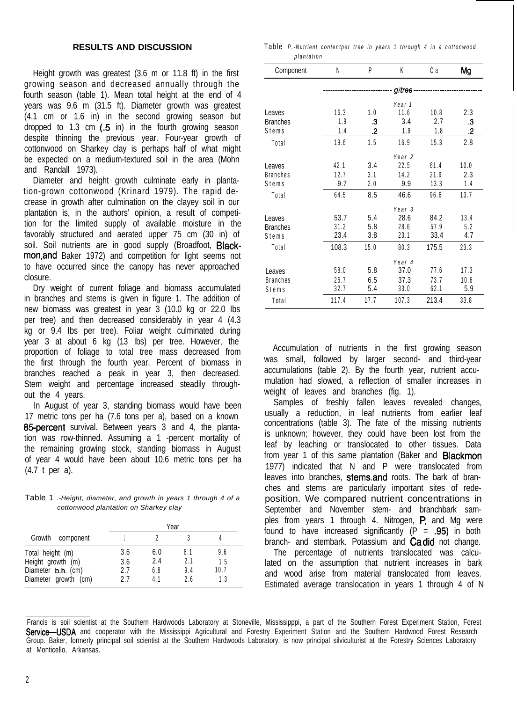### **RESULTS AND DISCUSSION**

Height growth was greatest (3.6 m or 11.8 ft) in the first growing season and decreased annually through the fourth season (table 1). Mean total height at the end of 4 years was 9.6 m (31.5 ft). Diameter growth was greatest (4.1 cm or 1.6 in) in the second growing season but dropped to 1.3 cm  $(.5 \text{ in})$  in the fourth growing season despite thinning the previous year. Four-year growth of cottonwood on Sharkey clay is perhaps half of what might be expected on a medium-textured soil in the area (Mohn and Randall 1973).

Diameter and height growth culminate early in plantation-grown cottonwood (Krinard 1979). The rapid decrease in growth after culmination on the clayey soil in our plantation is, in the authors' opinion, a result of competition for the limited supply of available moisture in the favorably structured and aerated upper 75 cm (30 in) of soil. Soil nutrients are in good supply (Broadfoot, Blackmon,and Baker 1972) and competition for light seems not to have occurred since the canopy has never approached closure.

Dry weight of current foliage and biomass accumulated in branches and stems is given in figure 1. The addition of new biomass was greatest in year 3 (10.0 kg or 22.0 Ibs per tree) and then decreased considerably in year 4 (4.3 kg or 9.4 Ibs per tree). Foliar weight culminated during year 3 at about 6 kg (13 Ibs) per tree. However, the proportion of foliage to total tree mass decreased from the first through the fourth year. Percent of biomass in branches reached a peak in year 3, then decreased. Stem weight and percentage increased steadily throughout the 4 years.

In August of year 3, standing biomass would have been 17 metric tons per ha (7.6 tons per a), based on a known 85-percent survival. Between years 3 and 4, the plantation was row-thinned. Assuming a 1 -percent mortality of the remaining growing stock, standing biomass in August of year 4 would have been about 10.6 metric tons per ha (4.7 t per a).

Table 1 *.-Height, diameter, and growth in years 1 through 4 of a cottonwood plantation on Sharkey clay*

|                                                             | Year              |                   |                   |                    |  |
|-------------------------------------------------------------|-------------------|-------------------|-------------------|--------------------|--|
| Growth<br>component                                         |                   |                   |                   |                    |  |
| Total height (m)<br>Height growth (m)<br>Diameter b.h. (cm) | 3.6<br>3.6<br>2.7 | 6.0<br>2.4<br>6.8 | 8.1<br>2.1<br>9.4 | 9.6<br>1.5<br>10.7 |  |
| Diameter growth (cm)                                        | 27                | 4.1               | ን 6               | 1.3                |  |

Table *P.-Nutrient contentper tree in years 1 through 4 in a cottonwood plantation*

| Component       | Ν                 | P    | K                 | Сa    | Mg   |  |
|-----------------|-------------------|------|-------------------|-------|------|--|
|                 | $q$ /tree -       |      |                   |       |      |  |
|                 |                   |      | Year 1            |       |      |  |
| Leaves          | 16.3              | 1.0  | 11.6              | 10.8  | 2.3  |  |
| <b>Branches</b> | 1.9               | .3   | 3.4               | 2.7   | .3   |  |
| Stems           | 1.4               | 2.   | 1.9               | 1.8   | .2   |  |
| Total           | 19.6              | 1.5  | 16.9              | 15.3  | 2.8  |  |
|                 | Year <sub>2</sub> |      |                   |       |      |  |
| Leaves          | 42.1              | 3.4  | 22.5              | 61.4  | 10.0 |  |
| <b>Branches</b> | 12.7              | 3.1  | 14.2              | 21.9  | 2.3  |  |
| Stems           | 9.7               | 2.0  | 9.9               | 13.3  | 1.4  |  |
| Total           | 64.5              | 8.5  | 46.6              | 96.6  | 13.7 |  |
|                 |                   |      | Year <sub>3</sub> |       |      |  |
| Leaves          | 53.7              | 5.4  | 28.6              | 84.2  | 13.4 |  |
| <b>Branches</b> | 31.2              | 5.8  | 28.6              | 57.9  | 5.2  |  |
| Stems           | 23.4              | 3.8  | 23.1              | 33.4  | 4.7  |  |
| Total           | 108.3             | 15.0 | 80.3              | 175.5 | 23.3 |  |
|                 |                   |      | Year <sub>4</sub> |       |      |  |
| Leaves          | 58.0              | 5.8  | 37.0              | 77.6  | 17.3 |  |
| <b>Branches</b> | 26.7              | 6.5  | 37.3              | 73.7  | 10.6 |  |
| Stems           | 32.7              | 5.4  | 33.0              | 62.1  | 5.9  |  |
| Total           | 117.4             | 17.7 | 107.3             | 213.4 | 33.8 |  |

Accumulation of nutrients in the first growing season was small, followed by larger second- and third-year accumulations (table 2). By the fourth year, nutrient accumulation had slowed, a reflection of smaller increases in weight of leaves and branches (fig. 1).

Samples of freshly fallen leaves revealed changes, usually a reduction, in leaf nutrients from earlier leaf concentrations (table 3). The fate of the missing nutrients is unknown; however, they could have been lost from the leaf by leaching or translocated to other tissues. Data from year 1 of this same plantation (Baker and Blackmon 1977) indicated that N and P were translocated from leaves into branches, stems, and roots. The bark of branches and stems are particularly important sites of redeposition. We compared nutrient concentrations in September and November stem- and branchbark samples from years 1 through 4. Nitrogen, P, and Mg were found to have increased significantly  $(P = .95)$  in both branch- and stembark. Potassium and Cadid not change.

The percentage of nutrients translocated was calculated on the assumption that nutrient increases in bark and wood arise from material translocated from leaves. Estimated average translocation in years 1 through 4 of N

Francis is soil scientist at the Southern Hardwoods Laboratory at Stoneville, Mississipppi, a part of the Southern Forest Experiment Station, Forest Service-USDA and cooperator with the Mississippi Agricultural and Forestry Experiment Station and the Southern Hardwood Forest Research Group. Baker, formerly principal soil scientist at the Southern Hardwoods Laboratory, is now principal silviculturist at the Forestry Sciences Laboratory at Monticello, Arkansas.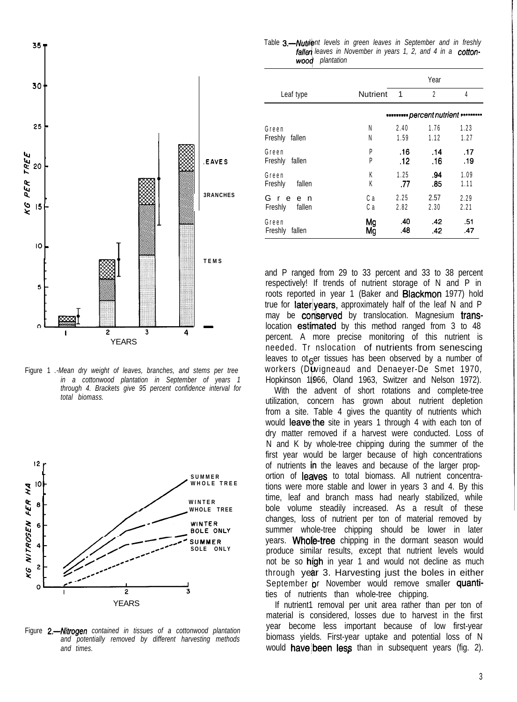

Figure 1 *.-Mean dry weight of leaves, branches, and stems per tree in a cottonwood plantation in September of years 1 through 4. Brackets give 95 percent confidence interval for total biomass.*



Figure 2.-Nitrogen contained in tissues of a cottonwood plantation *and potentially removed by different harvesting methods and times.*

Table 3.-Nutrient levels in green leaves in September and in freshly fallen leaves in November in years 1, 2, and 4 in a cotton*wooq plantation*

|                                 |                 | Year                                 |                |              |  |
|---------------------------------|-----------------|--------------------------------------|----------------|--------------|--|
| Leaf type                       | <b>Nutrient</b> | 1                                    | $\overline{2}$ | 4            |  |
|                                 |                 | · percent nutrient · · · · · · · · · |                |              |  |
| Green<br>Freshly<br>fallen      | Ν<br>N          | 2.40<br>1.59                         | 1.76<br>1.12   | 1.23<br>1.27 |  |
| Green<br>Freshly<br>fallen      | P<br>P          | .16<br>.12                           | .14<br>.16     | .17<br>.19   |  |
| Green<br>Freshly<br>fallen      | K<br>K          | 1.25<br>.77                          | .94<br>.85     | 1.09<br>1.11 |  |
| Gre<br>e n<br>Freshly<br>fallen | Сa<br>Сa        | 2.25<br>2.82                         | 2.57<br>2.30   | 2.29<br>2.21 |  |
| Green<br>Freshly<br>fallen      | Mg<br>Mğ        | .40<br>.48                           | .42<br>.42     | .51<br>.47   |  |

and P ranged from 29 to 33 percent and 33 to 38 percent respectively! If trends of nutrient storage of N and P in roots reported in year 1 (Baker and **Blackmon** 1977) hold true for **later** years, approximately half of the leaf N and P may be **conserved** by translocation. Magnesium translocation estimated by this method ranged from 3 to 48 percent. A more precise monitoring of this nutrient is needed. Tr nslocation of nutrients from senescing leaves to ot  $e^{e}$  tissues has been observed by a number of workers (D $\boldsymbol{\mathsf{w}}$ igneaud and Denaeyer-De Smet 1970, Hopkinson 1,966, Oland 1963, Switzer and Nelson 1972).

With the advent of short rotations and complete-tree utilization, concern has grown about nutrient depletion from a site. Table 4 gives the quantity of nutrients which would leave the site in years 1 through 4 with each ton of dry matter removed if a harvest were conducted. Loss of N and K by whole-tree chipping during the summer of the first year would be larger because of high concentrations of nutrients in the leaves and because of the larger proportion of leaves to total biomass. All nutrient concentrations were more stable and lower in years 3 and 4. By this time, leaf and branch mass had nearly stabilized, while bole volume steadily increased. As a result of these changes, loss of nutrient per ton of material removed by summer whole-tree chipping should be lower in later years. Whole-tree chipping in the dormant season would produce similar results, except that nutrient levels would not be so high in year 1 and would not decline as much through year 3. Harvesting just the boles in either September or November would remove smaller quantities of nutrients than whole-tree chipping.

If nutrient1 removal per unit area rather than per ton of material is considered, losses due to harvest in the first year become less important because of low first-year biomass yields. First-year uptake and potential loss of N would **have** been less than in subsequent years (fig. 2).